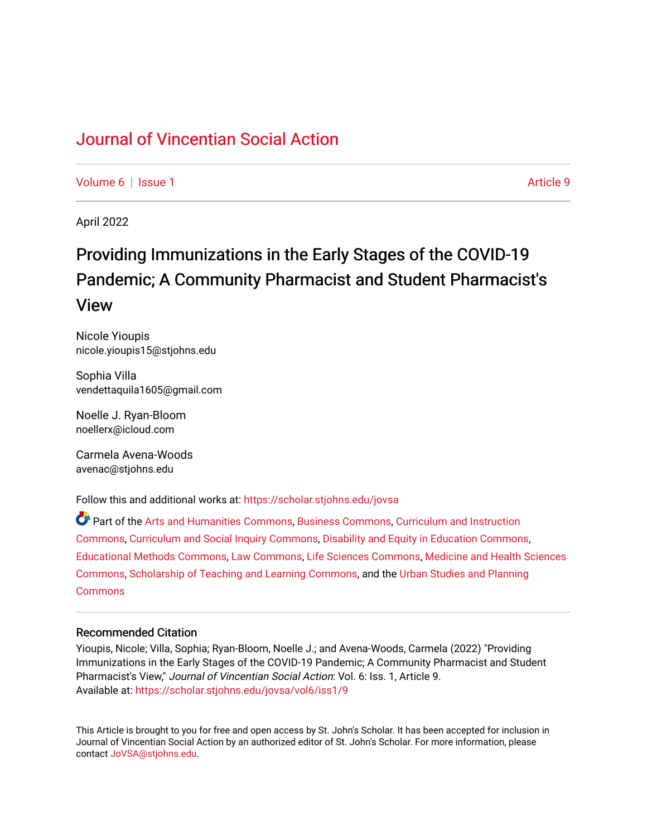### [Journal of Vincentian Social Action](https://scholar.stjohns.edu/jovsa)

[Volume 6](https://scholar.stjohns.edu/jovsa/vol6) | [Issue 1](https://scholar.stjohns.edu/jovsa/vol6/iss1) Article 9

April 2022

## Providing Immunizations in the Early Stages of the COVID-19 Pandemic; A Community Pharmacist and Student Pharmacist's View

Nicole Yioupis nicole.yioupis15@stjohns.edu

Sophia Villa vendettaquila1605@gmail.com

Noelle J. Ryan-Bloom noellerx@icloud.com

Carmela Avena-Woods avenac@stjohns.edu

Follow this and additional works at: [https://scholar.stjohns.edu/jovsa](https://scholar.stjohns.edu/jovsa?utm_source=scholar.stjohns.edu%2Fjovsa%2Fvol6%2Fiss1%2F9&utm_medium=PDF&utm_campaign=PDFCoverPages) 

Part of the [Arts and Humanities Commons,](http://network.bepress.com/hgg/discipline/438?utm_source=scholar.stjohns.edu%2Fjovsa%2Fvol6%2Fiss1%2F9&utm_medium=PDF&utm_campaign=PDFCoverPages) [Business Commons](http://network.bepress.com/hgg/discipline/622?utm_source=scholar.stjohns.edu%2Fjovsa%2Fvol6%2Fiss1%2F9&utm_medium=PDF&utm_campaign=PDFCoverPages), [Curriculum and Instruction](http://network.bepress.com/hgg/discipline/786?utm_source=scholar.stjohns.edu%2Fjovsa%2Fvol6%2Fiss1%2F9&utm_medium=PDF&utm_campaign=PDFCoverPages)  [Commons](http://network.bepress.com/hgg/discipline/786?utm_source=scholar.stjohns.edu%2Fjovsa%2Fvol6%2Fiss1%2F9&utm_medium=PDF&utm_campaign=PDFCoverPages), [Curriculum and Social Inquiry Commons](http://network.bepress.com/hgg/discipline/1038?utm_source=scholar.stjohns.edu%2Fjovsa%2Fvol6%2Fiss1%2F9&utm_medium=PDF&utm_campaign=PDFCoverPages), [Disability and Equity in Education Commons,](http://network.bepress.com/hgg/discipline/1040?utm_source=scholar.stjohns.edu%2Fjovsa%2Fvol6%2Fiss1%2F9&utm_medium=PDF&utm_campaign=PDFCoverPages) [Educational Methods Commons,](http://network.bepress.com/hgg/discipline/1227?utm_source=scholar.stjohns.edu%2Fjovsa%2Fvol6%2Fiss1%2F9&utm_medium=PDF&utm_campaign=PDFCoverPages) [Law Commons,](http://network.bepress.com/hgg/discipline/578?utm_source=scholar.stjohns.edu%2Fjovsa%2Fvol6%2Fiss1%2F9&utm_medium=PDF&utm_campaign=PDFCoverPages) [Life Sciences Commons](http://network.bepress.com/hgg/discipline/1016?utm_source=scholar.stjohns.edu%2Fjovsa%2Fvol6%2Fiss1%2F9&utm_medium=PDF&utm_campaign=PDFCoverPages), [Medicine and Health Sciences](http://network.bepress.com/hgg/discipline/648?utm_source=scholar.stjohns.edu%2Fjovsa%2Fvol6%2Fiss1%2F9&utm_medium=PDF&utm_campaign=PDFCoverPages) [Commons](http://network.bepress.com/hgg/discipline/648?utm_source=scholar.stjohns.edu%2Fjovsa%2Fvol6%2Fiss1%2F9&utm_medium=PDF&utm_campaign=PDFCoverPages), [Scholarship of Teaching and Learning Commons](http://network.bepress.com/hgg/discipline/1328?utm_source=scholar.stjohns.edu%2Fjovsa%2Fvol6%2Fiss1%2F9&utm_medium=PDF&utm_campaign=PDFCoverPages), and the [Urban Studies and Planning](http://network.bepress.com/hgg/discipline/436?utm_source=scholar.stjohns.edu%2Fjovsa%2Fvol6%2Fiss1%2F9&utm_medium=PDF&utm_campaign=PDFCoverPages)  **[Commons](http://network.bepress.com/hgg/discipline/436?utm_source=scholar.stjohns.edu%2Fjovsa%2Fvol6%2Fiss1%2F9&utm_medium=PDF&utm_campaign=PDFCoverPages)** 

#### Recommended Citation

Yioupis, Nicole; Villa, Sophia; Ryan-Bloom, Noelle J.; and Avena-Woods, Carmela (2022) "Providing Immunizations in the Early Stages of the COVID-19 Pandemic; A Community Pharmacist and Student Pharmacist's View," Journal of Vincentian Social Action: Vol. 6: Iss. 1, Article 9. Available at: [https://scholar.stjohns.edu/jovsa/vol6/iss1/9](https://scholar.stjohns.edu/jovsa/vol6/iss1/9?utm_source=scholar.stjohns.edu%2Fjovsa%2Fvol6%2Fiss1%2F9&utm_medium=PDF&utm_campaign=PDFCoverPages) 

This Article is brought to you for free and open access by St. John's Scholar. It has been accepted for inclusion in Journal of Vincentian Social Action by an authorized editor of St. John's Scholar. For more information, please contact [JoVSA@stjohns.edu](mailto:JoVSA@stjohns.edu).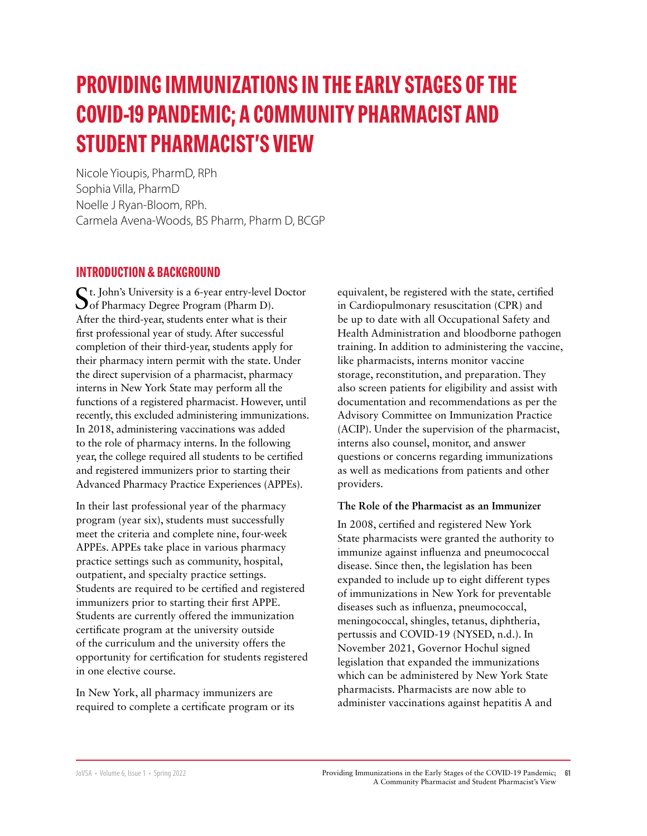# **PROVIDING IMMUNIZATIONS IN THE EARLY STAGES OF THE COVID-19 PANDEMIC; A COMMUNITY PHARMACIST AND STUDENT PHARMACIST'S VIEW**

Nicole Yioupis, PharmD, RPh Sophia Villa, PharmD Noelle J Ryan-Bloom, RPh. Carmela Avena-Woods, BS Pharm, Pharm D, BCGP

#### **INTRODUCTION & BACKGROUND**

St. John's University is a 6-year entry-level Doctor Oof Pharmacy Degree Program (Pharm D). After the third-year, students enter what is their first professional year of study. After successful completion of their third-year, students apply for their pharmacy intern permit with the state. Under the direct supervision of a pharmacist, pharmacy interns in New York State may perform all the functions of a registered pharmacist. However, until recently, this excluded administering immunizations. In 2018, administering vaccinations was added to the role of pharmacy interns. In the following year, the college required all students to be certified and registered immunizers prior to starting their Advanced Pharmacy Practice Experiences (APPEs).

In their last professional year of the pharmacy program (year six), students must successfully meet the criteria and complete nine, four-week APPEs. APPEs take place in various pharmacy practice settings such as community, hospital, outpatient, and specialty practice settings. Students are required to be certified and registered immunizers prior to starting their first APPE. Students are currently offered the immunization certificate program at the university outside of the curriculum and the university offers the opportunity for certification for students registered in one elective course.

In New York, all pharmacy immunizers are required to complete a certificate program or its equivalent, be registered with the state, certified in Cardiopulmonary resuscitation (CPR) and be up to date with all Occupational Safety and Health Administration and bloodborne pathogen training. In addition to administering the vaccine, like pharmacists, interns monitor vaccine storage, reconstitution, and preparation. They also screen patients for eligibility and assist with documentation and recommendations as per the Advisory Committee on Immunization Practice (ACIP). Under the supervision of the pharmacist, interns also counsel, monitor, and answer questions or concerns regarding immunizations as well as medications from patients and other providers.

#### **The Role of the Pharmacist as an Immunizer**

In 2008, certified and registered New York State pharmacists were granted the authority to immunize against influenza and pneumococcal disease. Since then, the legislation has been expanded to include up to eight different types of immunizations in New York for preventable diseases such as influenza, pneumococcal, meningococcal, shingles, tetanus, diphtheria, pertussis and COVID-19 (NYSED, n.d.). In November 2021, Governor Hochul signed legislation that expanded the immunizations which can be administered by New York State pharmacists. Pharmacists are now able to administer vaccinations against hepatitis A and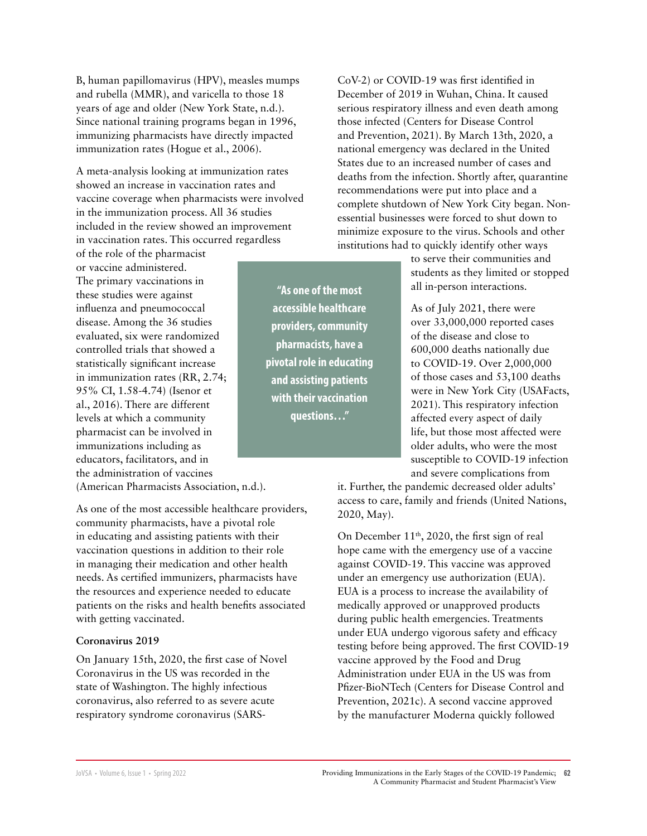B, human papillomavirus (HPV), measles mumps and rubella (MMR), and varicella to those 18 years of age and older (New York State, n.d.). Since national training programs began in 1996, immunizing pharmacists have directly impacted immunization rates (Hogue et al., 2006).

A meta-analysis looking at immunization rates showed an increase in vaccination rates and vaccine coverage when pharmacists were involved in the immunization process. All 36 studies included in the review showed an improvement in vaccination rates. This occurred regardless

of the role of the pharmacist or vaccine administered. The primary vaccinations in these studies were against influenza and pneumococcal disease. Among the 36 studies evaluated, six were randomized controlled trials that showed a statistically significant increase in immunization rates (RR, 2.74; 95% CI, 1.58-4.74) (Isenor et al., 2016). There are different levels at which a community pharmacist can be involved in immunizations including as educators, facilitators, and in the administration of vaccines

(American Pharmacists Association, n.d.).

As one of the most accessible healthcare providers, community pharmacists, have a pivotal role in educating and assisting patients with their vaccination questions in addition to their role in managing their medication and other health needs. As certified immunizers, pharmacists have the resources and experience needed to educate patients on the risks and health benefits associated with getting vaccinated.

#### **Coronavirus 2019**

On January 15th, 2020, the first case of Novel Coronavirus in the US was recorded in the state of Washington. The highly infectious coronavirus, also referred to as severe acute respiratory syndrome coronavirus (SARS-

**"As one of the most accessible healthcare providers, community pharmacists, have a pivotal role in educating and assisting patients with their vaccination questions…"**

CoV-2) or COVID-19 was first identified in December of 2019 in Wuhan, China. It caused serious respiratory illness and even death among those infected (Centers for Disease Control and Prevention, 2021). By March 13th, 2020, a national emergency was declared in the United States due to an increased number of cases and deaths from the infection. Shortly after, quarantine recommendations were put into place and a complete shutdown of New York City began. Nonessential businesses were forced to shut down to minimize exposure to the virus. Schools and other institutions had to quickly identify other ways

> to serve their communities and students as they limited or stopped all in-person interactions.

> As of July 2021, there were over 33,000,000 reported cases of the disease and close to 600,000 deaths nationally due to COVID-19. Over 2,000,000 of those cases and 53,100 deaths were in New York City (USAFacts, 2021). This respiratory infection affected every aspect of daily life, but those most affected were older adults, who were the most susceptible to COVID-19 infection and severe complications from

it. Further, the pandemic decreased older adults' access to care, family and friends (United Nations, 2020, May).

On December 11<sup>th</sup>, 2020, the first sign of real hope came with the emergency use of a vaccine against COVID-19. This vaccine was approved under an emergency use authorization (EUA). EUA is a process to increase the availability of medically approved or unapproved products during public health emergencies. Treatments under EUA undergo vigorous safety and efficacy testing before being approved. The first COVID-19 vaccine approved by the Food and Drug Administration under EUA in the US was from Pfizer-BioNTech (Centers for Disease Control and Prevention, 2021c). A second vaccine approved by the manufacturer Moderna quickly followed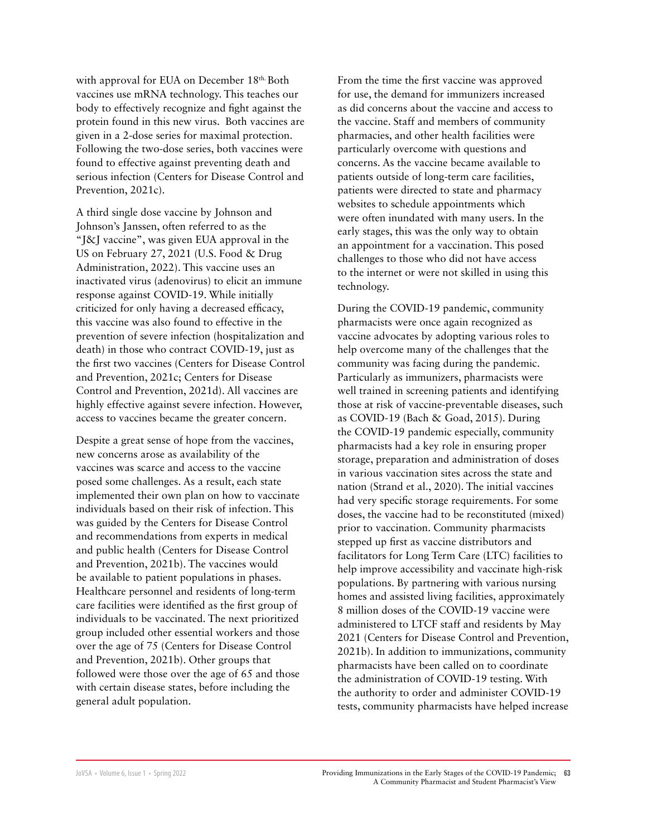with approval for EUA on December 18th. Both vaccines use mRNA technology. This teaches our body to effectively recognize and fight against the protein found in this new virus. Both vaccines are given in a 2-dose series for maximal protection. Following the two-dose series, both vaccines were found to effective against preventing death and serious infection (Centers for Disease Control and Prevention, 2021c).

A third single dose vaccine by Johnson and Johnson's Janssen, often referred to as the "J&J vaccine", was given EUA approval in the US on February 27, 2021 (U.S. Food & Drug Administration, 2022). This vaccine uses an inactivated virus (adenovirus) to elicit an immune response against COVID-19. While initially criticized for only having a decreased efficacy, this vaccine was also found to effective in the prevention of severe infection (hospitalization and death) in those who contract COVID-19, just as the first two vaccines (Centers for Disease Control and Prevention, 2021c; Centers for Disease Control and Prevention, 2021d). All vaccines are highly effective against severe infection. However, access to vaccines became the greater concern.

Despite a great sense of hope from the vaccines, new concerns arose as availability of the vaccines was scarce and access to the vaccine posed some challenges. As a result, each state implemented their own plan on how to vaccinate individuals based on their risk of infection. This was guided by the Centers for Disease Control and recommendations from experts in medical and public health (Centers for Disease Control and Prevention, 2021b). The vaccines would be available to patient populations in phases. Healthcare personnel and residents of long-term care facilities were identified as the first group of individuals to be vaccinated. The next prioritized group included other essential workers and those over the age of 75 (Centers for Disease Control and Prevention, 2021b). Other groups that followed were those over the age of 65 and those with certain disease states, before including the general adult population.

From the time the first vaccine was approved for use, the demand for immunizers increased as did concerns about the vaccine and access to the vaccine. Staff and members of community pharmacies, and other health facilities were particularly overcome with questions and concerns. As the vaccine became available to patients outside of long-term care facilities, patients were directed to state and pharmacy websites to schedule appointments which were often inundated with many users. In the early stages, this was the only way to obtain an appointment for a vaccination. This posed challenges to those who did not have access to the internet or were not skilled in using this technology.

During the COVID-19 pandemic, community pharmacists were once again recognized as vaccine advocates by adopting various roles to help overcome many of the challenges that the community was facing during the pandemic. Particularly as immunizers, pharmacists were well trained in screening patients and identifying those at risk of vaccine-preventable diseases, such as COVID-19 (Bach & Goad, 2015). During the COVID-19 pandemic especially, community pharmacists had a key role in ensuring proper storage, preparation and administration of doses in various vaccination sites across the state and nation (Strand et al., 2020). The initial vaccines had very specific storage requirements. For some doses, the vaccine had to be reconstituted (mixed) prior to vaccination. Community pharmacists stepped up first as vaccine distributors and facilitators for Long Term Care (LTC) facilities to help improve accessibility and vaccinate high-risk populations. By partnering with various nursing homes and assisted living facilities, approximately 8 million doses of the COVID-19 vaccine were administered to LTCF staff and residents by May 2021 (Centers for Disease Control and Prevention, 2021b). In addition to immunizations, community pharmacists have been called on to coordinate the administration of COVID-19 testing. With the authority to order and administer COVID-19 tests, community pharmacists have helped increase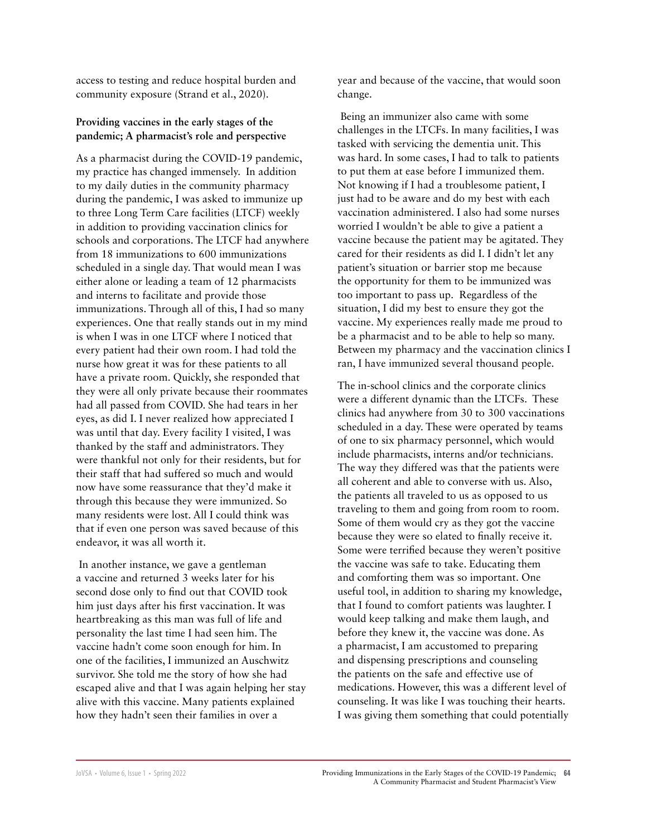access to testing and reduce hospital burden and community exposure (Strand et al., 2020).

#### **Providing vaccines in the early stages of the pandemic; A pharmacist's role and perspective**

As a pharmacist during the COVID-19 pandemic, my practice has changed immensely. In addition to my daily duties in the community pharmacy during the pandemic, I was asked to immunize up to three Long Term Care facilities (LTCF) weekly in addition to providing vaccination clinics for schools and corporations. The LTCF had anywhere from 18 immunizations to 600 immunizations scheduled in a single day. That would mean I was either alone or leading a team of 12 pharmacists and interns to facilitate and provide those immunizations. Through all of this, I had so many experiences. One that really stands out in my mind is when I was in one LTCF where I noticed that every patient had their own room. I had told the nurse how great it was for these patients to all have a private room. Quickly, she responded that they were all only private because their roommates had all passed from COVID. She had tears in her eyes, as did I. I never realized how appreciated I was until that day. Every facility I visited, I was thanked by the staff and administrators. They were thankful not only for their residents, but for their staff that had suffered so much and would now have some reassurance that they'd make it through this because they were immunized. So many residents were lost. All I could think was that if even one person was saved because of this endeavor, it was all worth it.

 In another instance, we gave a gentleman a vaccine and returned 3 weeks later for his second dose only to find out that COVID took him just days after his first vaccination. It was heartbreaking as this man was full of life and personality the last time I had seen him. The vaccine hadn't come soon enough for him. In one of the facilities, I immunized an Auschwitz survivor. She told me the story of how she had escaped alive and that I was again helping her stay alive with this vaccine. Many patients explained how they hadn't seen their families in over a

year and because of the vaccine, that would soon change.

 Being an immunizer also came with some challenges in the LTCFs. In many facilities, I was tasked with servicing the dementia unit. This was hard. In some cases, I had to talk to patients to put them at ease before I immunized them. Not knowing if I had a troublesome patient, I just had to be aware and do my best with each vaccination administered. I also had some nurses worried I wouldn't be able to give a patient a vaccine because the patient may be agitated. They cared for their residents as did I. I didn't let any patient's situation or barrier stop me because the opportunity for them to be immunized was too important to pass up. Regardless of the situation, I did my best to ensure they got the vaccine. My experiences really made me proud to be a pharmacist and to be able to help so many. Between my pharmacy and the vaccination clinics I ran, I have immunized several thousand people.

The in-school clinics and the corporate clinics were a different dynamic than the LTCFs. These clinics had anywhere from 30 to 300 vaccinations scheduled in a day. These were operated by teams of one to six pharmacy personnel, which would include pharmacists, interns and/or technicians. The way they differed was that the patients were all coherent and able to converse with us. Also, the patients all traveled to us as opposed to us traveling to them and going from room to room. Some of them would cry as they got the vaccine because they were so elated to finally receive it. Some were terrified because they weren't positive the vaccine was safe to take. Educating them and comforting them was so important. One useful tool, in addition to sharing my knowledge, that I found to comfort patients was laughter. I would keep talking and make them laugh, and before they knew it, the vaccine was done. As a pharmacist, I am accustomed to preparing and dispensing prescriptions and counseling the patients on the safe and effective use of medications. However, this was a different level of counseling. It was like I was touching their hearts. I was giving them something that could potentially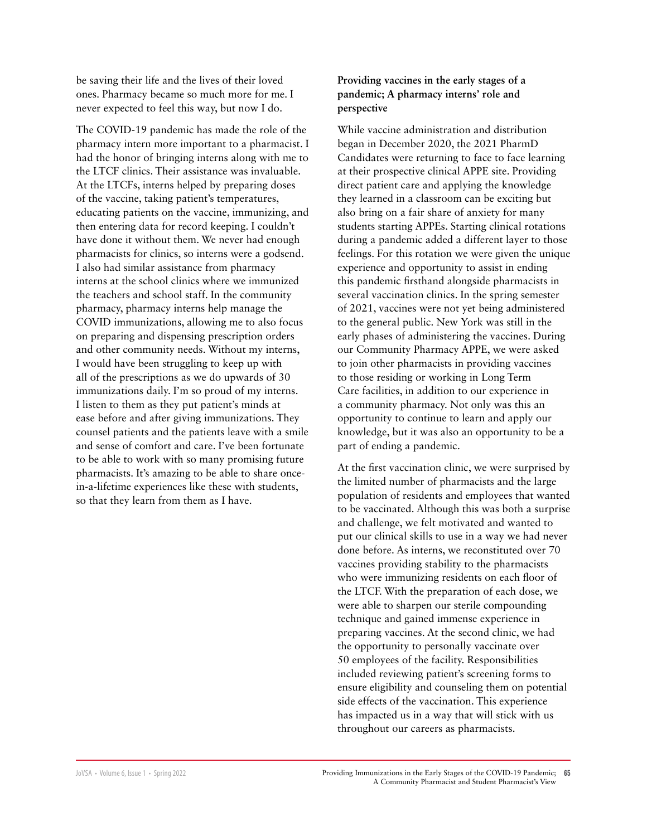be saving their life and the lives of their loved ones. Pharmacy became so much more for me. I never expected to feel this way, but now I do.

The COVID-19 pandemic has made the role of the pharmacy intern more important to a pharmacist. I had the honor of bringing interns along with me to the LTCF clinics. Their assistance was invaluable. At the LTCFs, interns helped by preparing doses of the vaccine, taking patient's temperatures, educating patients on the vaccine, immunizing, and then entering data for record keeping. I couldn't have done it without them. We never had enough pharmacists for clinics, so interns were a godsend. I also had similar assistance from pharmacy interns at the school clinics where we immunized the teachers and school staff. In the community pharmacy, pharmacy interns help manage the COVID immunizations, allowing me to also focus on preparing and dispensing prescription orders and other community needs. Without my interns, I would have been struggling to keep up with all of the prescriptions as we do upwards of 30 immunizations daily. I'm so proud of my interns. I listen to them as they put patient's minds at ease before and after giving immunizations. They counsel patients and the patients leave with a smile and sense of comfort and care. I've been fortunate to be able to work with so many promising future pharmacists. It's amazing to be able to share oncein-a-lifetime experiences like these with students, so that they learn from them as I have.

#### **Providing vaccines in the early stages of a pandemic; A pharmacy interns' role and perspective**

While vaccine administration and distribution began in December 2020, the 2021 PharmD Candidates were returning to face to face learning at their prospective clinical APPE site. Providing direct patient care and applying the knowledge they learned in a classroom can be exciting but also bring on a fair share of anxiety for many students starting APPEs. Starting clinical rotations during a pandemic added a different layer to those feelings. For this rotation we were given the unique experience and opportunity to assist in ending this pandemic firsthand alongside pharmacists in several vaccination clinics. In the spring semester of 2021, vaccines were not yet being administered to the general public. New York was still in the early phases of administering the vaccines. During our Community Pharmacy APPE, we were asked to join other pharmacists in providing vaccines to those residing or working in Long Term Care facilities, in addition to our experience in a community pharmacy. Not only was this an opportunity to continue to learn and apply our knowledge, but it was also an opportunity to be a part of ending a pandemic.

At the first vaccination clinic, we were surprised by the limited number of pharmacists and the large population of residents and employees that wanted to be vaccinated. Although this was both a surprise and challenge, we felt motivated and wanted to put our clinical skills to use in a way we had never done before. As interns, we reconstituted over 70 vaccines providing stability to the pharmacists who were immunizing residents on each floor of the LTCF. With the preparation of each dose, we were able to sharpen our sterile compounding technique and gained immense experience in preparing vaccines. At the second clinic, we had the opportunity to personally vaccinate over 50 employees of the facility. Responsibilities included reviewing patient's screening forms to ensure eligibility and counseling them on potential side effects of the vaccination. This experience has impacted us in a way that will stick with us throughout our careers as pharmacists.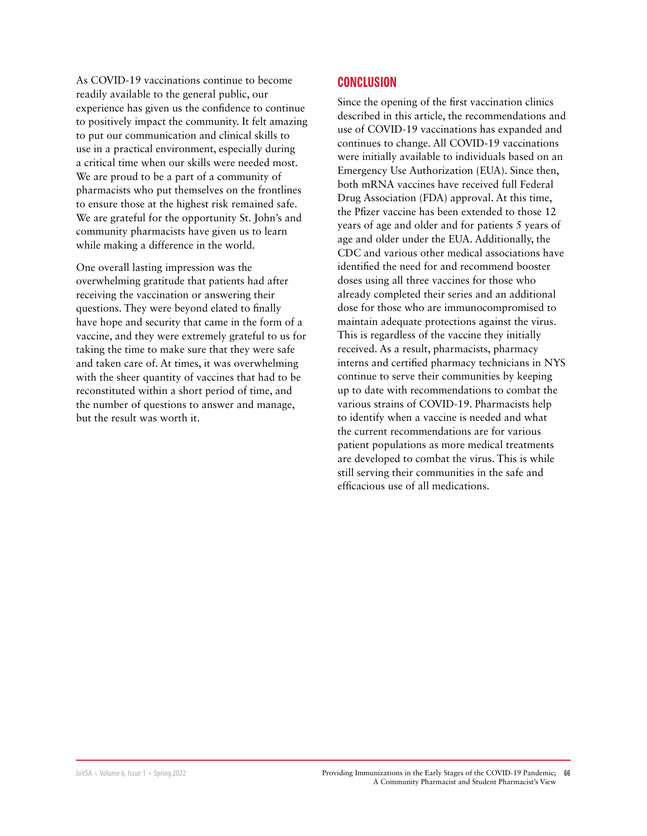As COVID-19 vaccinations continue to become readily available to the general public, our experience has given us the confidence to continue to positively impact the community. It felt amazing to put our communication and clinical skills to use in a practical environment, especially during a critical time when our skills were needed most. We are proud to be a part of a community of pharmacists who put themselves on the frontlines to ensure those at the highest risk remained safe. We are grateful for the opportunity St. John's and community pharmacists have given us to learn while making a difference in the world.

One overall lasting impression was the overwhelming gratitude that patients had after receiving the vaccination or answering their questions. They were beyond elated to finally have hope and security that came in the form of a vaccine, and they were extremely grateful to us for taking the time to make sure that they were safe and taken care of. At times, it was overwhelming with the sheer quantity of vaccines that had to be reconstituted within a short period of time, and the number of questions to answer and manage, but the result was worth it.

#### **CONCLUSION**

Since the opening of the first vaccination clinics described in this article, the recommendations and use of COVID-19 vaccinations has expanded and continues to change. All COVID-19 vaccinations were initially available to individuals based on an Emergency Use Authorization (EUA). Since then, both mRNA vaccines have received full Federal Drug Association (FDA) approval. At this time, the Pfizer vaccine has been extended to those 12 years of age and older and for patients 5 years of age and older under the EUA. Additionally, the CDC and various other medical associations have identified the need for and recommend booster doses using all three vaccines for those who already completed their series and an additional dose for those who are immunocompromised to maintain adequate protections against the virus. This is regardless of the vaccine they initially received. As a result, pharmacists, pharmacy interns and certified pharmacy technicians in NYS continue to serve their communities by keeping up to date with recommendations to combat the various strains of COVID-19. Pharmacists help to identify when a vaccine is needed and what the current recommendations are for various patient populations as more medical treatments are developed to combat the virus. This is while still serving their communities in the safe and efficacious use of all medications.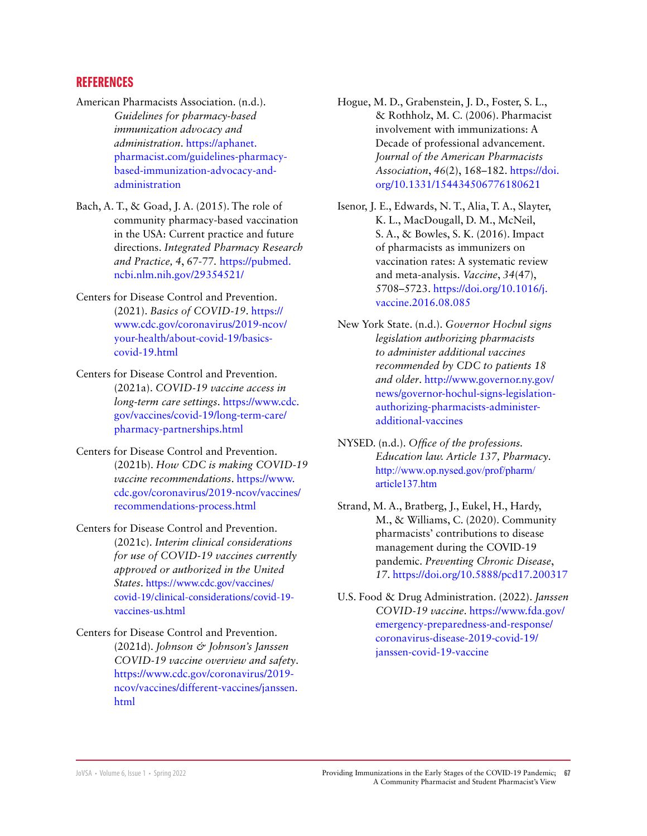#### **REFERENCES**

- American Pharmacists Association. (n.d.). *Guidelines for pharmacy-based immunization advocacy and administration*. [https://aphanet.](https://aphanet.pharmacist.com/guidelines-pharmacy-based-immunization-advocacy-and-administration) [pharmacist.com/guidelines-pharmacy](https://aphanet.pharmacist.com/guidelines-pharmacy-based-immunization-advocacy-and-administration)[based-immunization-advocacy-and](https://aphanet.pharmacist.com/guidelines-pharmacy-based-immunization-advocacy-and-administration)[administration](https://aphanet.pharmacist.com/guidelines-pharmacy-based-immunization-advocacy-and-administration)
- Bach, A. T., & Goad, J. A. (2015). The role of community pharmacy-based vaccination in the USA: Current practice and future directions. *Integrated Pharmacy Research and Practice, 4*, 67-77*.* [https://pubmed.](https://pubmed.ncbi.nlm.nih.gov/29354521/ 
) [ncbi.nlm.nih.gov/29354521/](https://pubmed.ncbi.nlm.nih.gov/29354521/ 
)
- Centers for Disease Control and Prevention. (2021). *Basics of COVID-19*. [https://](https://www.cdc.gov/coronavirus/2019-ncov/your-health/about-covid-19/basics-covid-19.html) [www.cdc.gov/coronavirus/2019-ncov/](https://www.cdc.gov/coronavirus/2019-ncov/your-health/about-covid-19/basics-covid-19.html) [your-health/about-covid-19/basics](https://www.cdc.gov/coronavirus/2019-ncov/your-health/about-covid-19/basics-covid-19.html)[covid-19.html](https://www.cdc.gov/coronavirus/2019-ncov/your-health/about-covid-19/basics-covid-19.html)
- Centers for Disease Control and Prevention. (2021a). *COVID-19 vaccine access in long-term care settings*. [https://www.cdc.](https://www.cdc.gov/vaccines/covid-19/long-term-care/pharmacy-partnerships.html) [gov/vaccines/covid-19/long-term-care/](https://www.cdc.gov/vaccines/covid-19/long-term-care/pharmacy-partnerships.html) [pharmacy-partnerships.html](https://www.cdc.gov/vaccines/covid-19/long-term-care/pharmacy-partnerships.html)
- Centers for Disease Control and Prevention. (2021b). *How CDC is making COVID-19 vaccine recommendations*. [https://www.](https://www.cdc.gov/coronavirus/2019-ncov/vaccines/recommendations-process.html) [cdc.gov/coronavirus/2019-ncov/vaccines/](https://www.cdc.gov/coronavirus/2019-ncov/vaccines/recommendations-process.html) [recommendations-process.html](https://www.cdc.gov/coronavirus/2019-ncov/vaccines/recommendations-process.html)
- Centers for Disease Control and Prevention. (2021c). *Interim clinical considerations for use of COVID-19 vaccines currently approved or authorized in the United States*. [https://www.cdc.gov/vaccines/](https://www.cdc.gov/vaccines/covid-19/clinical-considerations/covid-19-vaccines-us.html) [covid-19/clinical-considerations/covid-19](https://www.cdc.gov/vaccines/covid-19/clinical-considerations/covid-19-vaccines-us.html) [vaccines-us.html](https://www.cdc.gov/vaccines/covid-19/clinical-considerations/covid-19-vaccines-us.html)
- Centers for Disease Control and Prevention. (2021d). *Johnson & Johnson's Janssen COVID-19 vaccine overview and safety*. [https://www.cdc.gov/coronavirus/2019](https://www.cdc.gov/coronavirus/2019-ncov/vaccines/different-vaccines/janssen.html) [ncov/vaccines/different-vaccines/janssen.](https://www.cdc.gov/coronavirus/2019-ncov/vaccines/different-vaccines/janssen.html) [html](https://www.cdc.gov/coronavirus/2019-ncov/vaccines/different-vaccines/janssen.html)
- Hogue, M. D., Grabenstein, J. D., Foster, S. L., & Rothholz, M. C. (2006). Pharmacist involvement with immunizations: A Decade of professional advancement. *Journal of the American Pharmacists Association*, *46*(2), 168–182. [https://doi.](https://doi.org/10.1331/154434506776180621) [org/10.1331/154434506776180621](https://doi.org/10.1331/154434506776180621)
- Isenor, J. E., Edwards, N. T., Alia, T. A., Slayter, K. L., MacDougall, D. M., McNeil, S. A., & Bowles, S. K. (2016). Impact of pharmacists as immunizers on vaccination rates: A systematic review and meta-analysis. *Vaccine*, *34*(47), 5708–5723. [https://doi.org/10.1016/j.](https://doi.org/10.1016/j.vaccine.2016.08.085) [vaccine.2016.08.085](https://doi.org/10.1016/j.vaccine.2016.08.085)
- New York State. (n.d.). *Governor Hochul signs legislation authorizing pharmacists to administer additional vaccines recommended by CDC to patients 18 and older*. [http://www.governor.ny.gov/](http://www.governor.ny.gov/news/governor-hochul-signs-legislation-authorizing-pharmacists-administer-additional-vaccines) [news/governor-hochul-signs-legislation](http://www.governor.ny.gov/news/governor-hochul-signs-legislation-authorizing-pharmacists-administer-additional-vaccines)[authorizing-pharmacists-administer](http://www.governor.ny.gov/news/governor-hochul-signs-legislation-authorizing-pharmacists-administer-additional-vaccines)[additional-vaccines](http://www.governor.ny.gov/news/governor-hochul-signs-legislation-authorizing-pharmacists-administer-additional-vaccines)
- NYSED. (n.d.). *Office of the professions. Education law. Article 137, Pharmacy*. [http://www.op.nysed.gov/prof/pharm/](http://www.op.nysed.gov/prof/pharm/article137.htm) [article137.htm](http://www.op.nysed.gov/prof/pharm/article137.htm)
- Strand, M. A., Bratberg, J., Eukel, H., Hardy, M., & Williams, C. (2020). Community pharmacists' contributions to disease management during the COVID-19 pandemic. *Preventing Chronic Disease*, *17*. https://doi.org/10.5888/pcd17.200317
- U.S. Food & Drug Administration. (2022). *Janssen COVID-19 vaccine*. [https://www.fda.gov/](https://www.fda.gov/emergency-preparedness-and-response/coronavirus-disease-2019-covid-19/janssen-covid-19-vaccine) [emergency-preparedness-and-response/](https://www.fda.gov/emergency-preparedness-and-response/coronavirus-disease-2019-covid-19/janssen-covid-19-vaccine) [coronavirus-disease-2019-covid-19/](https://www.fda.gov/emergency-preparedness-and-response/coronavirus-disease-2019-covid-19/janssen-covid-19-vaccine) [janssen-covid-19-vaccine](https://www.fda.gov/emergency-preparedness-and-response/coronavirus-disease-2019-covid-19/janssen-covid-19-vaccine)